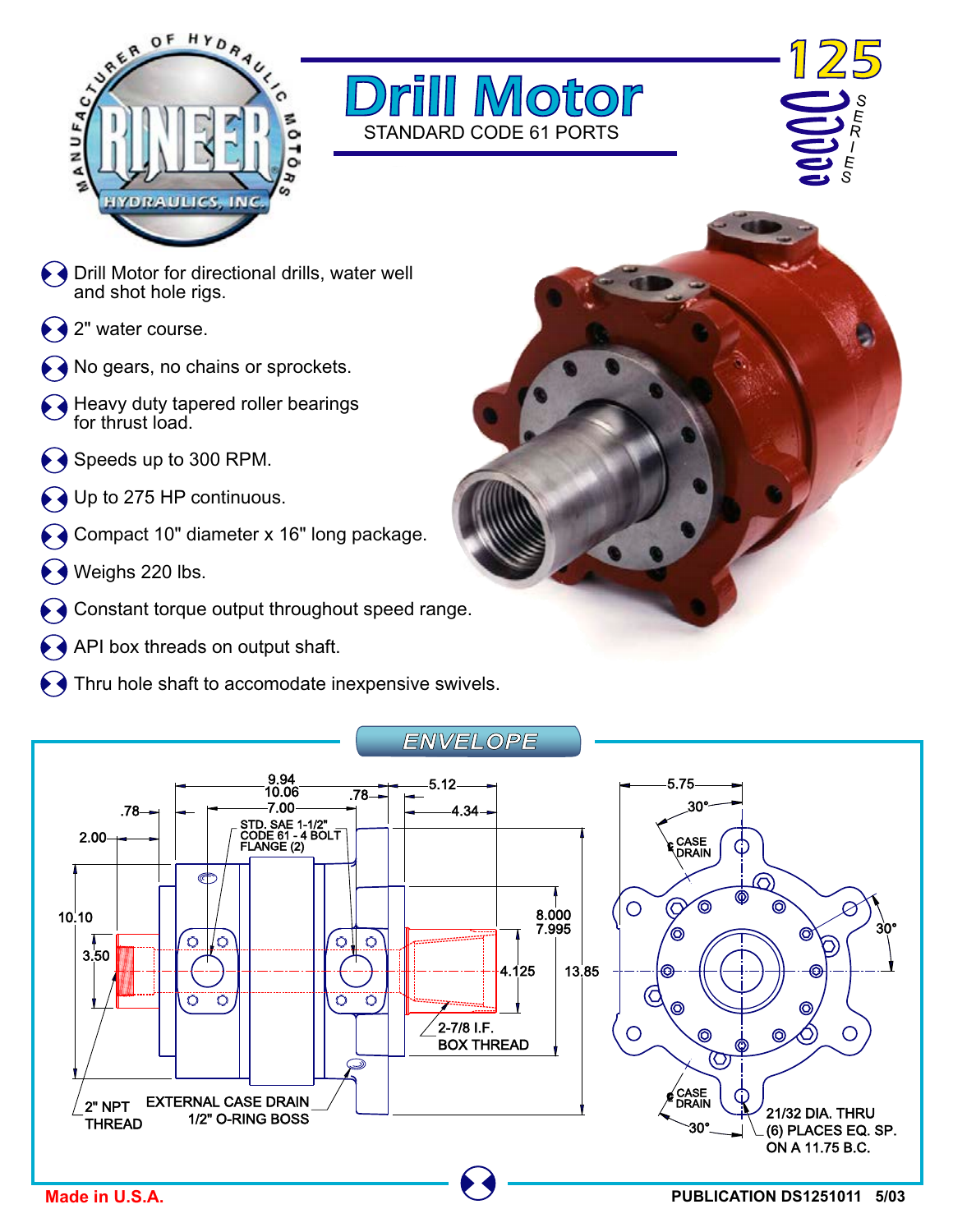





- $\blacklozenge$   $\blacklozenge$  Drill Motor for directional drills, water well and shot hole rigs.
- 2" water course.
- No gears, no chains or sprockets.
- Heavy duty tapered roller bearings for thrust load.
- $\leftrightarrow$  Speeds up to 300 RPM.
- Up to 275 HP continuous.
- Compact 10" diameter x 16" long package.
- Weighs 220 lbs.
- Constant torque output throughout speed range.
- API box threads on output shaft.
- $\blacklozenge$  Thru hole shaft to accomodate inexpensive swivels.